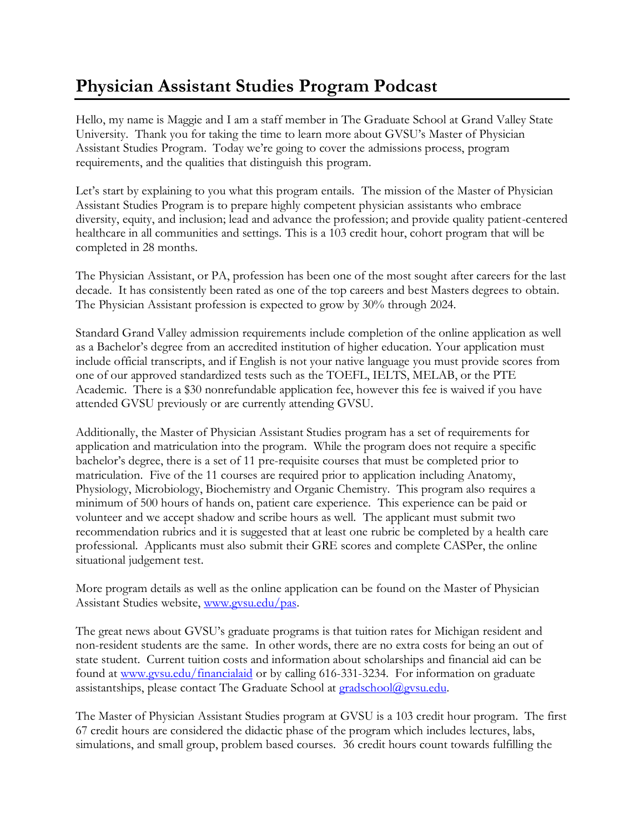## **Physician Assistant Studies Program Podcast**

Hello, my name is Maggie and I am a staff member in The Graduate School at Grand Valley State University. Thank you for taking the time to learn more about GVSU's Master of Physician Assistant Studies Program. Today we're going to cover the admissions process, program requirements, and the qualities that distinguish this program.

Let's start by explaining to you what this program entails. The mission of the Master of Physician Assistant Studies Program is to prepare highly competent physician assistants who embrace diversity, equity, and inclusion; lead and advance the profession; and provide quality patient-centered healthcare in all communities and settings. This is a 103 credit hour, cohort program that will be completed in 28 months.

The Physician Assistant, or PA, profession has been one of the most sought after careers for the last decade. It has consistently been rated as one of the top careers and best Masters degrees to obtain. The Physician Assistant profession is expected to grow by 30% through 2024.

Standard Grand Valley admission requirements include completion of the online application as well as a Bachelor's degree from an accredited institution of higher education. Your application must include official transcripts, and if English is not your native language you must provide scores from one of our approved standardized tests such as the TOEFL, IELTS, MELAB, or the PTE Academic. There is a \$30 nonrefundable application fee, however this fee is waived if you have attended GVSU previously or are currently attending GVSU.

Additionally, the Master of Physician Assistant Studies program has a set of requirements for application and matriculation into the program. While the program does not require a specific bachelor's degree, there is a set of 11 pre-requisite courses that must be completed prior to matriculation. Five of the 11 courses are required prior to application including Anatomy, Physiology, Microbiology, Biochemistry and Organic Chemistry. This program also requires a minimum of 500 hours of hands on, patient care experience. This experience can be paid or volunteer and we accept shadow and scribe hours as well. The applicant must submit two recommendation rubrics and it is suggested that at least one rubric be completed by a health care professional. Applicants must also submit their GRE scores and complete CASPer, the online situational judgement test.

More program details as well as the online application can be found on the Master of Physician Assistant Studies website, [www.gvsu.edu/pas.](http://www.gvsu.edu/pas)

The great news about GVSU's graduate programs is that tuition rates for Michigan resident and non-resident students are the same. In other words, there are no extra costs for being an out of state student. Current tuition costs and information about scholarships and financial aid can be found at [www.gvsu.edu/financialaid](http://www.gvsu.edu/financialaid) or by calling 616-331-3234. For information on graduate assistantships, please contact The Graduate School at [gradschool@gvsu.edu.](mailto:gradschool@gvsu.edu)

The Master of Physician Assistant Studies program at GVSU is a 103 credit hour program. The first 67 credit hours are considered the didactic phase of the program which includes lectures, labs, simulations, and small group, problem based courses. 36 credit hours count towards fulfilling the